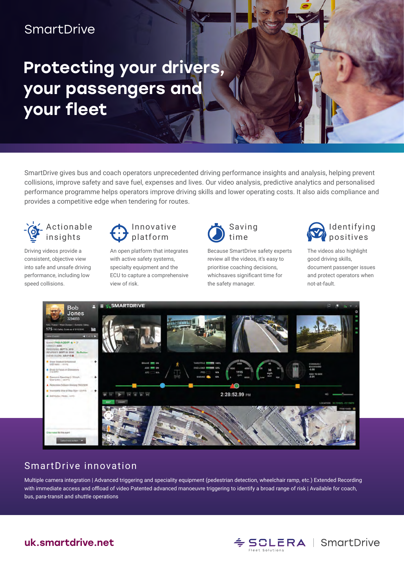## **SmartDrive**

# Protecting your drivers, your passengers and your fleet

SmartDrive gives bus and coach operators unprecedented driving performance insights and analysis, helping prevent collisions, improve safety and save fuel, expenses and lives. Our video analysis, predictive analytics and personalised performance programme helps operators improve driving skills and lower operating costs. It also aids compliance and provides a competitive edge when tendering for routes.



Driving videos provide a consistent, objective view into safe and unsafe driving performance, including low speed collisions.



An open platform that integrates with active safety systems, specialty equipment and the ECU to capture a comprehensive view of risk.



Because SmartDrive safety experts review all the videos, it's easy to prioritise coaching decisions, whichsaves significant time for the safety manager.



The videos also highlight good driving skills, document passenger issues and protect operators when not-at-fault.



#### SmartDrive innovation

Multiple camera integration | Advanced triggering and speciality equipment (pedestrian detection, wheelchair ramp, etc.) Extended Recording with immediate access and offload of video Patented advanced manoeuvre triggering to identify a broad range of risk | Available for coach, bus, para-transit and shuttle operations



#### uk.smartdrive.net